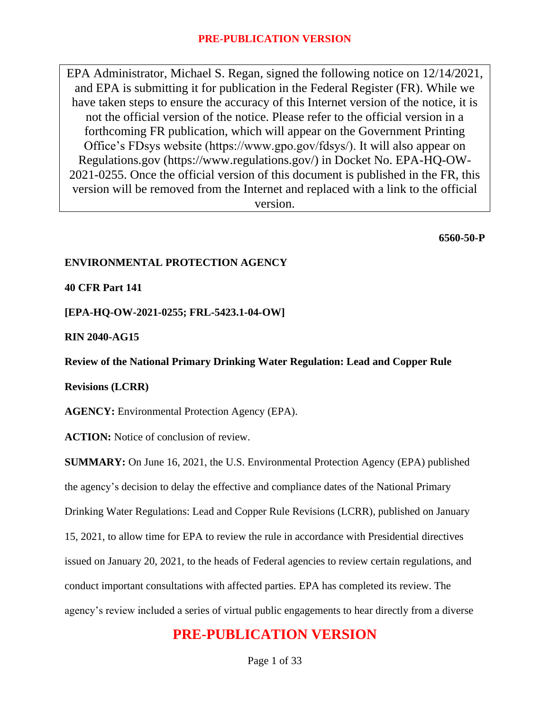EPA Administrator, Michael S. Regan, signed the following notice on 12/14/2021, and EPA is submitting it for publication in the Federal Register (FR). While we have taken steps to ensure the accuracy of this Internet version of the notice, it is not the official version of the notice. Please refer to the official version in a forthcoming FR publication, which will appear on the Government Printing Office's FDsys website (https://www.gpo.gov/fdsys/). It will also appear on Regulations.gov (https://www.regulations.gov/) in Docket No. EPA-HQ-OW-2021-0255. Once the official version of this document is published in the FR, this version will be removed from the Internet and replaced with a link to the official version.

**6560-50-P**

### **ENVIRONMENTAL PROTECTION AGENCY**

### **40 CFR Part 141**

**[EPA-HQ-OW-2021-0255; FRL-5423.1-04-OW]**

**RIN 2040-AG15**

**Review of the National Primary Drinking Water Regulation: Lead and Copper Rule** 

**Revisions (LCRR)**

**AGENCY:** Environmental Protection Agency (EPA).

**ACTION:** Notice of conclusion of review.

**SUMMARY:** On June 16, 2021, the U.S. Environmental Protection Agency (EPA) published the agency's decision to delay the effective and compliance dates of the National Primary Drinking Water Regulations: Lead and Copper Rule Revisions (LCRR), published on January 15, 2021, to allow time for EPA to review the rule in accordance with Presidential directives issued on January 20, 2021, to the heads of Federal agencies to review certain regulations, and conduct important consultations with affected parties. EPA has completed its review. The agency's review included a series of virtual public engagements to hear directly from a diverse

# **PRE-PUBLICATION VERSION**

Page 1 of 33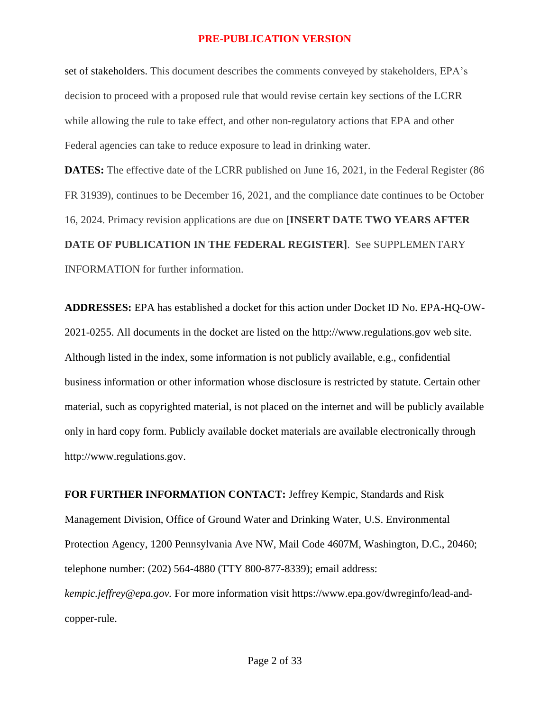set of stakeholders. This document describes the comments conveyed by stakeholders, EPA's decision to proceed with a proposed rule that would revise certain key sections of the LCRR while allowing the rule to take effect, and other non-regulatory actions that EPA and other Federal agencies can take to reduce exposure to lead in drinking water.

**DATES:** The effective date of the LCRR published on June 16, 2021, in the Federal Register (86) FR 31939), continues to be December 16, 2021, and the compliance date continues to be October 16, 2024. Primacy revision applications are due on **[INSERT DATE TWO YEARS AFTER DATE OF PUBLICATION IN THE FEDERAL REGISTER]**. See SUPPLEMENTARY INFORMATION for further information.

**ADDRESSES:** EPA has established a docket for this action under Docket ID No. EPA-HQ-OW-2021-0255. All documents in the docket are listed on the http://www.regulations.gov web site. Although listed in the index, some information is not publicly available, e.g., confidential business information or other information whose disclosure is restricted by statute. Certain other material, such as copyrighted material, is not placed on the internet and will be publicly available only in hard copy form. Publicly available docket materials are available electronically through http://www.regulations.gov.

**FOR FURTHER INFORMATION CONTACT:** Jeffrey Kempic, Standards and Risk Management Division, Office of Ground Water and Drinking Water, U.S. Environmental Protection Agency, 1200 Pennsylvania Ave NW, Mail Code 4607M, Washington, D.C., 20460; telephone number: (202) 564-4880 (TTY 800-877-8339); email address: *kempic.jeffrey@epa.gov.* For more information visit https://www.epa.gov/dwreginfo/lead-andcopper-rule.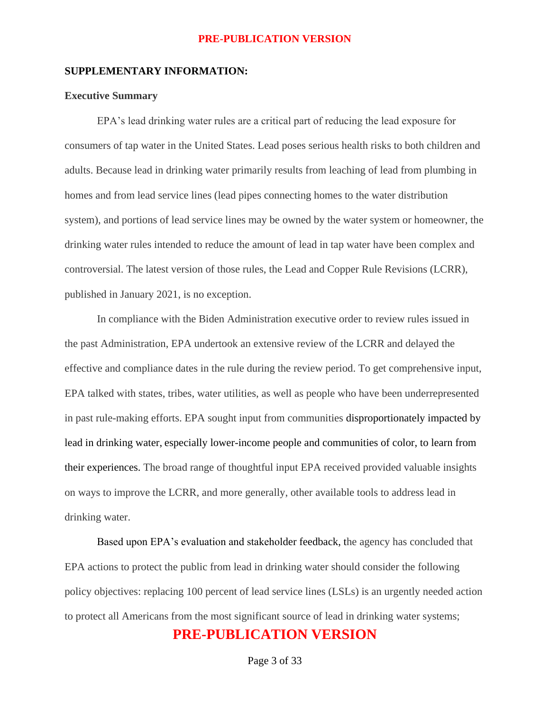#### **SUPPLEMENTARY INFORMATION:**

### **Executive Summary**

EPA's lead drinking water rules are a critical part of reducing the lead exposure for consumers of tap water in the United States. Lead poses serious health risks to both children and adults. Because lead in drinking water primarily results from leaching of lead from plumbing in homes and from lead service lines (lead pipes connecting homes to the water distribution system), and portions of lead service lines may be owned by the water system or homeowner, the drinking water rules intended to reduce the amount of lead in tap water have been complex and controversial. The latest version of those rules, the Lead and Copper Rule Revisions (LCRR), published in January 2021, is no exception.

In compliance with the Biden Administration executive order to review rules issued in the past Administration, EPA undertook an extensive review of the LCRR and delayed the effective and compliance dates in the rule during the review period. To get comprehensive input, EPA talked with states, tribes, water utilities, as well as people who have been underrepresented in past rule-making efforts. EPA sought input from communities disproportionately impacted by lead in drinking water, especially lower-income people and communities of color, to learn from their experiences. The broad range of thoughtful input EPA received provided valuable insights on ways to improve the LCRR, and more generally, other available tools to address lead in drinking water.

Based upon EPA's evaluation and stakeholder feedback, the agency has concluded that EPA actions to protect the public from lead in drinking water should consider the following policy objectives: replacing 100 percent of lead service lines (LSLs) is an urgently needed action to protect all Americans from the most significant source of lead in drinking water systems;

### **PRE-PUBLICATION VERSION**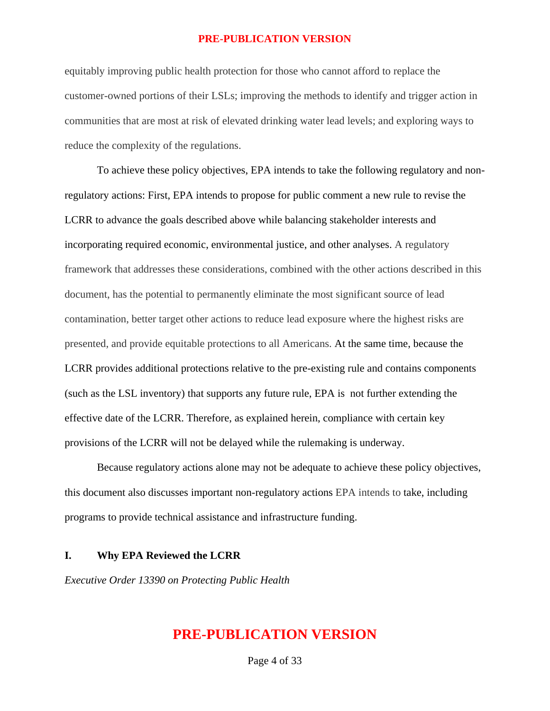equitably improving public health protection for those who cannot afford to replace the customer-owned portions of their LSLs; improving the methods to identify and trigger action in communities that are most at risk of elevated drinking water lead levels; and exploring ways to reduce the complexity of the regulations.

To achieve these policy objectives, EPA intends to take the following regulatory and nonregulatory actions: First, EPA intends to propose for public comment a new rule to revise the LCRR to advance the goals described above while balancing stakeholder interests and incorporating required economic, environmental justice, and other analyses. A regulatory framework that addresses these considerations, combined with the other actions described in this document, has the potential to permanently eliminate the most significant source of lead contamination, better target other actions to reduce lead exposure where the highest risks are presented, and provide equitable protections to all Americans. At the same time, because the LCRR provides additional protections relative to the pre-existing rule and contains components (such as the LSL inventory) that supports any future rule, EPA is not further extending the effective date of the LCRR. Therefore, as explained herein, compliance with certain key provisions of the LCRR will not be delayed while the rulemaking is underway.

Because regulatory actions alone may not be adequate to achieve these policy objectives, this document also discusses important non-regulatory actions EPA intends to take, including programs to provide technical assistance and infrastructure funding.

### **I. Why EPA Reviewed the LCRR**

*Executive Order 13390 on Protecting Public Health*

### **PRE-PUBLICATION VERSION**

Page 4 of 33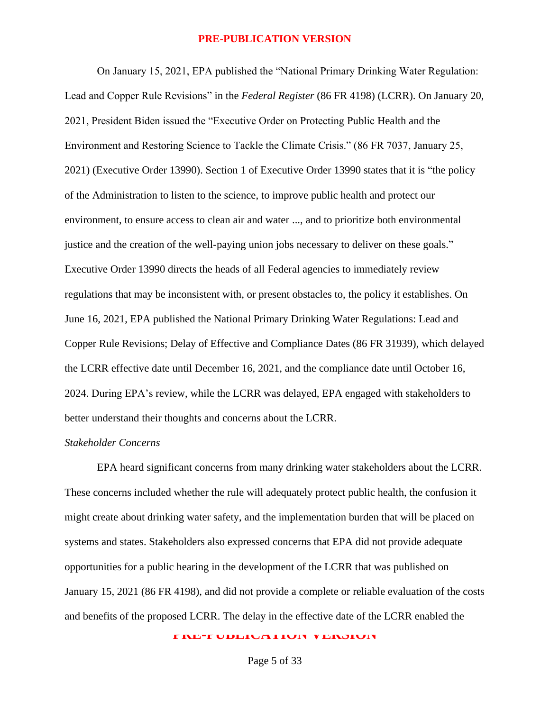On January 15, 2021, EPA published the "National Primary Drinking Water Regulation: Lead and Copper Rule Revisions" in the *Federal Register* (86 FR 4198) (LCRR). On January 20, 2021, President Biden issued the "Executive Order on Protecting Public Health and the Environment and Restoring Science to Tackle the Climate Crisis." (86 FR 7037, January 25, 2021) (Executive Order 13990). Section 1 of Executive Order 13990 states that it is "the policy of the Administration to listen to the science, to improve public health and protect our environment, to ensure access to clean air and water ..., and to prioritize both environmental justice and the creation of the well-paying union jobs necessary to deliver on these goals." Executive Order 13990 directs the heads of all Federal agencies to immediately review regulations that may be inconsistent with, or present obstacles to, the policy it establishes. On June 16, 2021, EPA published the National Primary Drinking Water Regulations: Lead and Copper Rule Revisions; Delay of Effective and Compliance Dates (86 FR 31939), which delayed the LCRR effective date until December 16, 2021, and the compliance date until October 16, 2024. During EPA's review, while the LCRR was delayed, EPA engaged with stakeholders to better understand their thoughts and concerns about the LCRR.

### *Stakeholder Concerns*

EPA heard significant concerns from many drinking water stakeholders about the LCRR. These concerns included whether the rule will adequately protect public health, the confusion it might create about drinking water safety, and the implementation burden that will be placed on systems and states. Stakeholders also expressed concerns that EPA did not provide adequate opportunities for a public hearing in the development of the LCRR that was published on January 15, 2021 (86 FR 4198), and did not provide a complete or reliable evaluation of the costs and benefits of the proposed LCRR. The delay in the effective date of the LCRR enabled the

**PRE-PUBLICATION VERSION**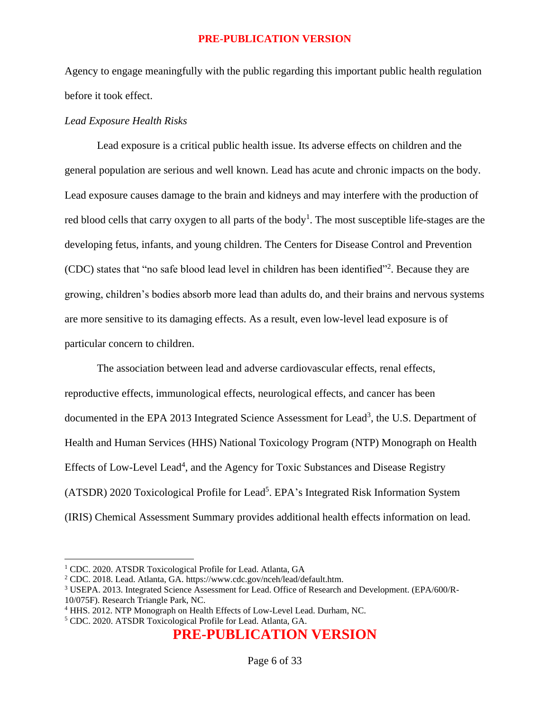Agency to engage meaningfully with the public regarding this important public health regulation before it took effect.

#### *Lead Exposure Health Risks*

Lead exposure is a critical public health issue. Its adverse effects on children and the general population are serious and well known. Lead has acute and chronic impacts on the body. Lead exposure causes damage to the brain and kidneys and may interfere with the production of red blood cells that carry oxygen to all parts of the body<sup>1</sup>. The most susceptible life-stages are the developing fetus, infants, and young children. The Centers for Disease Control and Prevention (CDC) states that "no safe blood lead level in children has been identified" 2 . Because they are growing, children's bodies absorb more lead than adults do, and their brains and nervous systems are more sensitive to its damaging effects. As a result, even low-level lead exposure is of particular concern to children.

The association between lead and adverse cardiovascular effects, renal effects, reproductive effects, immunological effects, neurological effects, and cancer has been documented in the EPA 2013 Integrated Science Assessment for Lead<sup>3</sup>, the U.S. Department of Health and Human Services (HHS) National Toxicology Program (NTP) Monograph on Health Effects of Low-Level Lead<sup>4</sup>, and the Agency for Toxic Substances and Disease Registry (ATSDR) 2020 Toxicological Profile for Lead<sup>5</sup>. EPA's Integrated Risk Information System (IRIS) Chemical Assessment Summary provides additional health effects information on lead.

<sup>&</sup>lt;sup>1</sup> CDC. 2020. ATSDR Toxicological Profile for Lead. Atlanta, GA

<sup>2</sup> CDC. 2018. Lead. Atlanta, GA. https://www.cdc.gov/nceh/lead/default.htm.

<sup>3</sup> USEPA. 2013. Integrated Science Assessment for Lead. Office of Research and Development. (EPA/600/R-10/075F). Research Triangle Park, NC.

<sup>4</sup> HHS. 2012. NTP Monograph on Health Effects of Low-Level Lead. Durham, NC.

<sup>5</sup> CDC. 2020. ATSDR Toxicological Profile for Lead. Atlanta, GA.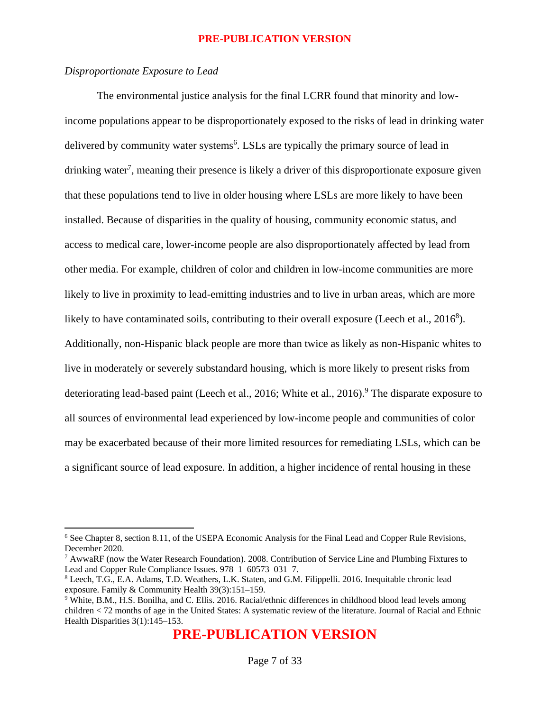### *Disproportionate Exposure to Lead*

The environmental justice analysis for the final LCRR found that minority and lowincome populations appear to be disproportionately exposed to the risks of lead in drinking water delivered by community water systems<sup>6</sup>. LSLs are typically the primary source of lead in drinking water<sup>7</sup>, meaning their presence is likely a driver of this disproportionate exposure given that these populations tend to live in older housing where LSLs are more likely to have been installed. Because of disparities in the quality of housing, community economic status, and access to medical care, lower-income people are also disproportionately affected by lead from other media. For example, children of color and children in low-income communities are more likely to live in proximity to lead-emitting industries and to live in urban areas, which are more likely to have contaminated soils, contributing to their overall exposure (Leech et al., 2016<sup>8</sup>). Additionally, non-Hispanic black people are more than twice as likely as non-Hispanic whites to live in moderately or severely substandard housing, which is more likely to present risks from deteriorating lead-based paint (Leech et al., 2016; White et al., 2016).<sup>9</sup> The disparate exposure to all sources of environmental lead experienced by low-income people and communities of color may be exacerbated because of their more limited resources for remediating LSLs, which can be a significant source of lead exposure. In addition, a higher incidence of rental housing in these

<sup>6</sup> See Chapter 8, section 8.11, of the USEPA Economic Analysis for the Final Lead and Copper Rule Revisions, December 2020.

<sup>7</sup> AwwaRF (now the Water Research Foundation). 2008. Contribution of Service Line and Plumbing Fixtures to Lead and Copper Rule Compliance Issues. 978–1–60573–031–7.

<sup>8</sup> Leech, T.G., E.A. Adams, T.D. Weathers, L.K. Staten, and G.M. Filippelli. 2016. Inequitable chronic lead exposure. Family & Community Health 39(3):151–159.

<sup>9</sup> White, B.M., H.S. Bonilha, and C. Ellis. 2016. Racial/ethnic differences in childhood blood lead levels among children < 72 months of age in the United States: A systematic review of the literature. Journal of Racial and Ethnic Health Disparities 3(1):145–153.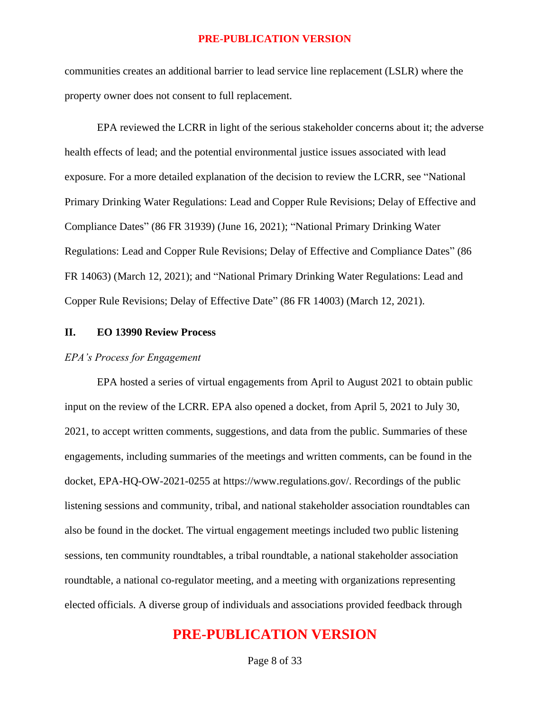communities creates an additional barrier to lead service line replacement (LSLR) where the property owner does not consent to full replacement.

EPA reviewed the LCRR in light of the serious stakeholder concerns about it; the adverse health effects of lead; and the potential environmental justice issues associated with lead exposure. For a more detailed explanation of the decision to review the LCRR, see "National Primary Drinking Water Regulations: Lead and Copper Rule Revisions; Delay of Effective and Compliance Dates" (86 FR 31939) (June 16, 2021); "National Primary Drinking Water Regulations: Lead and Copper Rule Revisions; Delay of Effective and Compliance Dates" (86 FR 14063) (March 12, 2021); and "National Primary Drinking Water Regulations: Lead and Copper Rule Revisions; Delay of Effective Date" (86 FR 14003) (March 12, 2021).

### **II. EO 13990 Review Process**

### *EPA's Process for Engagement*

EPA hosted a series of virtual engagements from April to August 2021 to obtain public input on the review of the LCRR. EPA also opened a docket, from April 5, 2021 to July 30, 2021, to accept written comments, suggestions, and data from the public. Summaries of these engagements, including summaries of the meetings and written comments, can be found in the docket, EPA-HQ-OW-2021-0255 at https://www.regulations.gov/. Recordings of the public listening sessions and community, tribal, and national stakeholder association roundtables can also be found in the docket. The virtual engagement meetings included two public listening sessions, ten community roundtables, a tribal roundtable, a national stakeholder association roundtable, a national co-regulator meeting, and a meeting with organizations representing elected officials. A diverse group of individuals and associations provided feedback through

## **PRE-PUBLICATION VERSION**

Page 8 of 33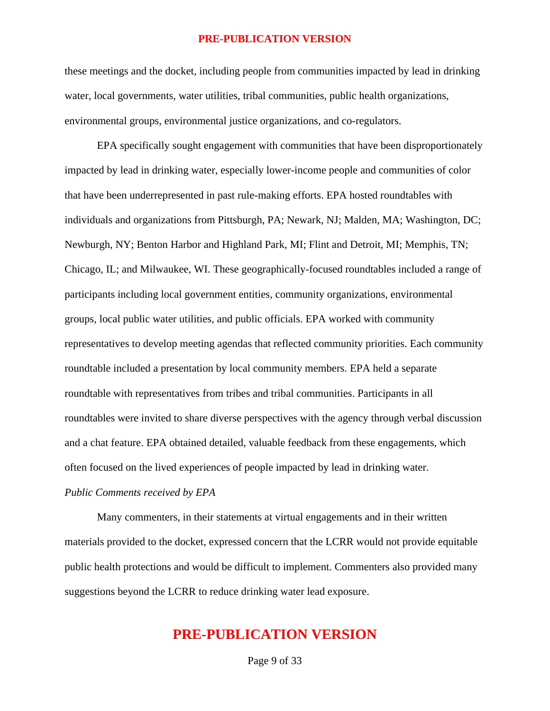these meetings and the docket, including people from communities impacted by lead in drinking water, local governments, water utilities, tribal communities, public health organizations, environmental groups, environmental justice organizations, and co-regulators.

EPA specifically sought engagement with communities that have been disproportionately impacted by lead in drinking water, especially lower-income people and communities of color that have been underrepresented in past rule-making efforts. EPA hosted roundtables with individuals and organizations from Pittsburgh, PA; Newark, NJ; Malden, MA; Washington, DC; Newburgh, NY; Benton Harbor and Highland Park, MI; Flint and Detroit, MI; Memphis, TN; Chicago, IL; and Milwaukee, WI. These geographically-focused roundtables included a range of participants including local government entities, community organizations, environmental groups, local public water utilities, and public officials. EPA worked with community representatives to develop meeting agendas that reflected community priorities. Each community roundtable included a presentation by local community members. EPA held a separate roundtable with representatives from tribes and tribal communities. Participants in all roundtables were invited to share diverse perspectives with the agency through verbal discussion and a chat feature. EPA obtained detailed, valuable feedback from these engagements, which often focused on the lived experiences of people impacted by lead in drinking water.

#### *Public Comments received by EPA*

Many commenters, in their statements at virtual engagements and in their written materials provided to the docket, expressed concern that the LCRR would not provide equitable public health protections and would be difficult to implement. Commenters also provided many suggestions beyond the LCRR to reduce drinking water lead exposure.

## **PRE-PUBLICATION VERSION**

Page 9 of 33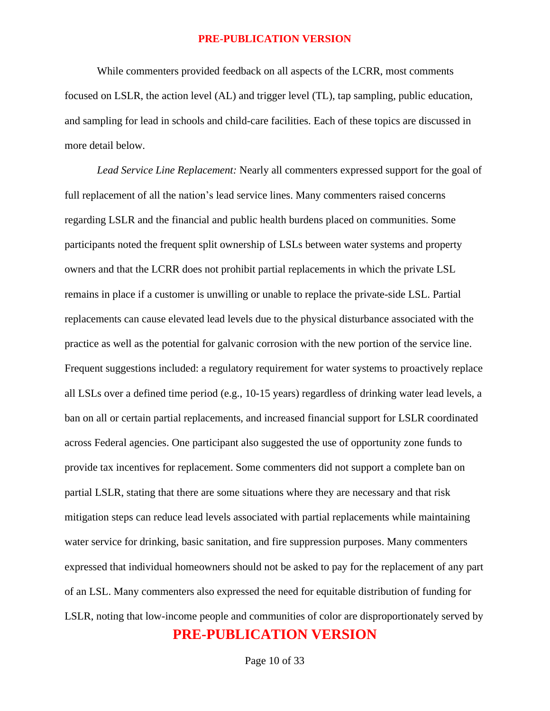While commenters provided feedback on all aspects of the LCRR, most comments focused on LSLR, the action level (AL) and trigger level (TL), tap sampling, public education, and sampling for lead in schools and child-care facilities. Each of these topics are discussed in more detail below.

**PRE-PUBLICATION VERSION** *Lead Service Line Replacement:* Nearly all commenters expressed support for the goal of full replacement of all the nation's lead service lines. Many commenters raised concerns regarding LSLR and the financial and public health burdens placed on communities. Some participants noted the frequent split ownership of LSLs between water systems and property owners and that the LCRR does not prohibit partial replacements in which the private LSL remains in place if a customer is unwilling or unable to replace the private-side LSL. Partial replacements can cause elevated lead levels due to the physical disturbance associated with the practice as well as the potential for galvanic corrosion with the new portion of the service line. Frequent suggestions included: a regulatory requirement for water systems to proactively replace all LSLs over a defined time period (e.g., 10-15 years) regardless of drinking water lead levels, a ban on all or certain partial replacements, and increased financial support for LSLR coordinated across Federal agencies. One participant also suggested the use of opportunity zone funds to provide tax incentives for replacement. Some commenters did not support a complete ban on partial LSLR, stating that there are some situations where they are necessary and that risk mitigation steps can reduce lead levels associated with partial replacements while maintaining water service for drinking, basic sanitation, and fire suppression purposes. Many commenters expressed that individual homeowners should not be asked to pay for the replacement of any part of an LSL. Many commenters also expressed the need for equitable distribution of funding for LSLR, noting that low-income people and communities of color are disproportionately served by

Page 10 of 33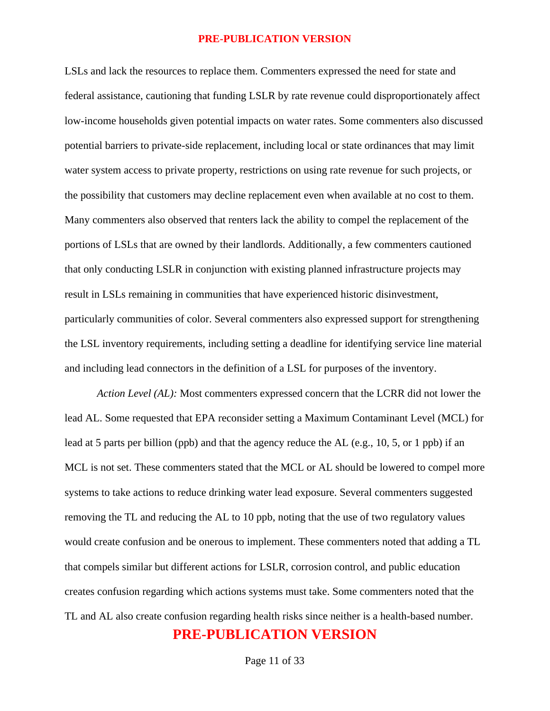LSLs and lack the resources to replace them. Commenters expressed the need for state and federal assistance, cautioning that funding LSLR by rate revenue could disproportionately affect low-income households given potential impacts on water rates. Some commenters also discussed potential barriers to private-side replacement, including local or state ordinances that may limit water system access to private property, restrictions on using rate revenue for such projects, or the possibility that customers may decline replacement even when available at no cost to them. Many commenters also observed that renters lack the ability to compel the replacement of the portions of LSLs that are owned by their landlords. Additionally, a few commenters cautioned that only conducting LSLR in conjunction with existing planned infrastructure projects may result in LSLs remaining in communities that have experienced historic disinvestment, particularly communities of color. Several commenters also expressed support for strengthening the LSL inventory requirements, including setting a deadline for identifying service line material and including lead connectors in the definition of a LSL for purposes of the inventory.

**PRE-PUBLICATION VERSION** *Action Level (AL):* Most commenters expressed concern that the LCRR did not lower the lead AL. Some requested that EPA reconsider setting a Maximum Contaminant Level (MCL) for lead at 5 parts per billion (ppb) and that the agency reduce the AL (e.g., 10, 5, or 1 ppb) if an MCL is not set. These commenters stated that the MCL or AL should be lowered to compel more systems to take actions to reduce drinking water lead exposure. Several commenters suggested removing the TL and reducing the AL to 10 ppb, noting that the use of two regulatory values would create confusion and be onerous to implement. These commenters noted that adding a TL that compels similar but different actions for LSLR, corrosion control, and public education creates confusion regarding which actions systems must take. Some commenters noted that the TL and AL also create confusion regarding health risks since neither is a health-based number.

Page 11 of 33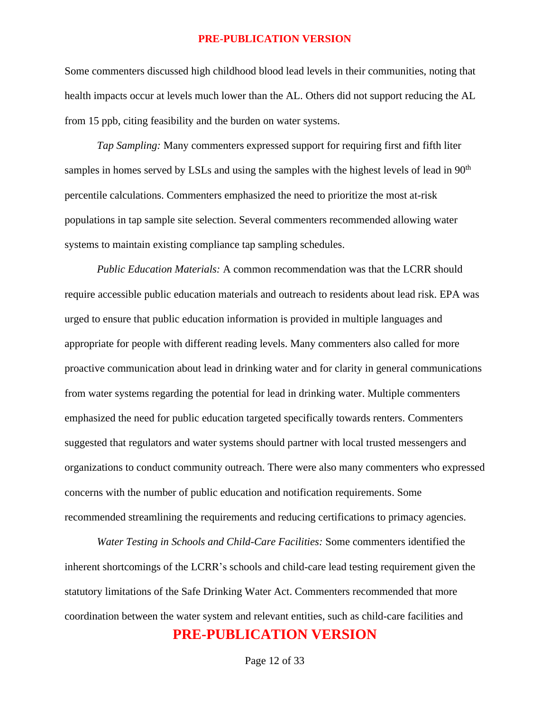Some commenters discussed high childhood blood lead levels in their communities, noting that health impacts occur at levels much lower than the AL. Others did not support reducing the AL from 15 ppb, citing feasibility and the burden on water systems.

*Tap Sampling:* Many commenters expressed support for requiring first and fifth liter samples in homes served by LSLs and using the samples with the highest levels of lead in 90<sup>th</sup> percentile calculations. Commenters emphasized the need to prioritize the most at-risk populations in tap sample site selection. Several commenters recommended allowing water systems to maintain existing compliance tap sampling schedules.

*Public Education Materials:* A common recommendation was that the LCRR should require accessible public education materials and outreach to residents about lead risk. EPA was urged to ensure that public education information is provided in multiple languages and appropriate for people with different reading levels. Many commenters also called for more proactive communication about lead in drinking water and for clarity in general communications from water systems regarding the potential for lead in drinking water. Multiple commenters emphasized the need for public education targeted specifically towards renters. Commenters suggested that regulators and water systems should partner with local trusted messengers and organizations to conduct community outreach. There were also many commenters who expressed concerns with the number of public education and notification requirements. Some recommended streamlining the requirements and reducing certifications to primacy agencies.

**PRE-PUBLICATION VERSION** *Water Testing in Schools and Child-Care Facilities:* Some commenters identified the inherent shortcomings of the LCRR's schools and child-care lead testing requirement given the statutory limitations of the Safe Drinking Water Act. Commenters recommended that more coordination between the water system and relevant entities, such as child-care facilities and

Page 12 of 33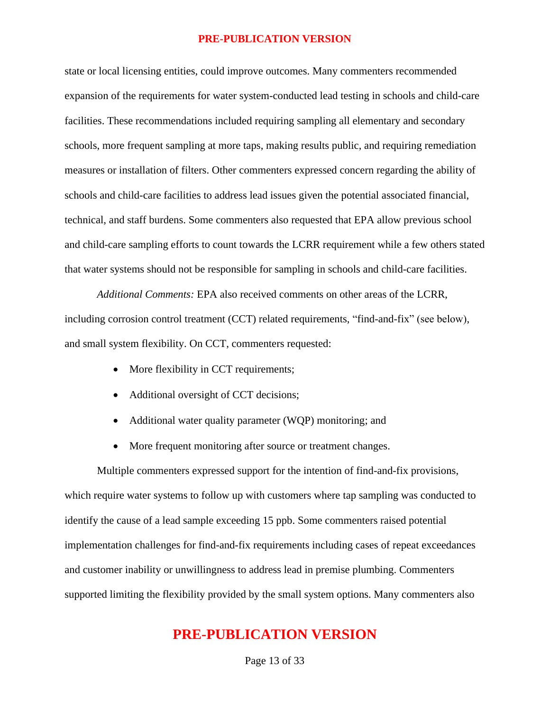state or local licensing entities, could improve outcomes. Many commenters recommended expansion of the requirements for water system-conducted lead testing in schools and child-care facilities. These recommendations included requiring sampling all elementary and secondary schools, more frequent sampling at more taps, making results public, and requiring remediation measures or installation of filters. Other commenters expressed concern regarding the ability of schools and child-care facilities to address lead issues given the potential associated financial, technical, and staff burdens. Some commenters also requested that EPA allow previous school and child-care sampling efforts to count towards the LCRR requirement while a few others stated that water systems should not be responsible for sampling in schools and child-care facilities.

*Additional Comments:* EPA also received comments on other areas of the LCRR, including corrosion control treatment (CCT) related requirements, "find-and-fix" (see below), and small system flexibility. On CCT, commenters requested:

- More flexibility in CCT requirements;
- Additional oversight of CCT decisions;
- Additional water quality parameter (WQP) monitoring; and
- More frequent monitoring after source or treatment changes.

Multiple commenters expressed support for the intention of find-and-fix provisions, which require water systems to follow up with customers where tap sampling was conducted to identify the cause of a lead sample exceeding 15 ppb. Some commenters raised potential implementation challenges for find-and-fix requirements including cases of repeat exceedances and customer inability or unwillingness to address lead in premise plumbing. Commenters supported limiting the flexibility provided by the small system options. Many commenters also

## **PRE-PUBLICATION VERSION**

Page 13 of 33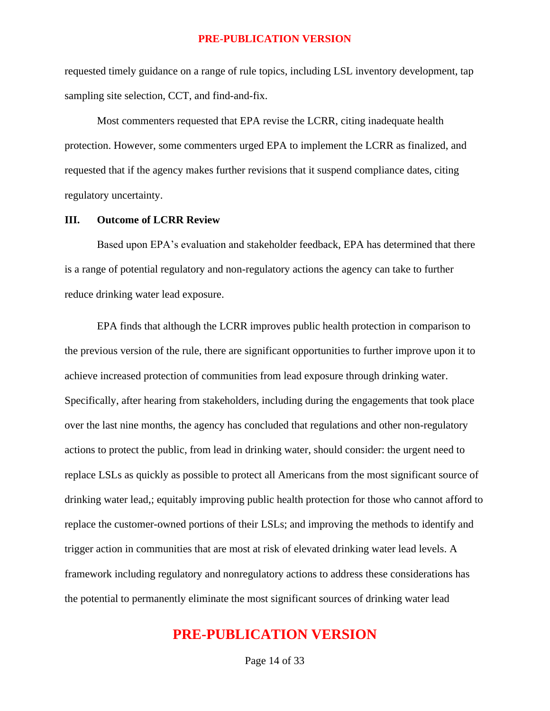requested timely guidance on a range of rule topics, including LSL inventory development, tap sampling site selection, CCT, and find-and-fix.

Most commenters requested that EPA revise the LCRR, citing inadequate health protection. However, some commenters urged EPA to implement the LCRR as finalized, and requested that if the agency makes further revisions that it suspend compliance dates, citing regulatory uncertainty.

#### **III. Outcome of LCRR Review**

Based upon EPA's evaluation and stakeholder feedback, EPA has determined that there is a range of potential regulatory and non-regulatory actions the agency can take to further reduce drinking water lead exposure.

EPA finds that although the LCRR improves public health protection in comparison to the previous version of the rule, there are significant opportunities to further improve upon it to achieve increased protection of communities from lead exposure through drinking water. Specifically, after hearing from stakeholders, including during the engagements that took place over the last nine months, the agency has concluded that regulations and other non-regulatory actions to protect the public, from lead in drinking water, should consider: the urgent need to replace LSLs as quickly as possible to protect all Americans from the most significant source of drinking water lead,; equitably improving public health protection for those who cannot afford to replace the customer-owned portions of their LSLs; and improving the methods to identify and trigger action in communities that are most at risk of elevated drinking water lead levels. A framework including regulatory and nonregulatory actions to address these considerations has the potential to permanently eliminate the most significant sources of drinking water lead

## **PRE-PUBLICATION VERSION**

Page 14 of 33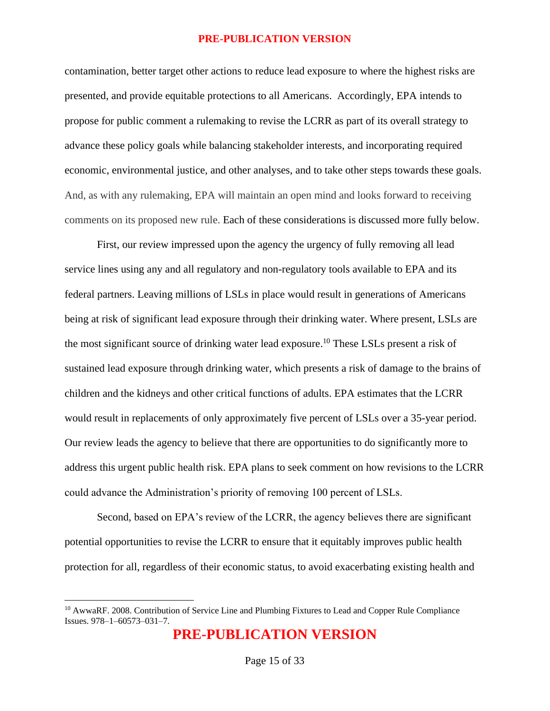contamination, better target other actions to reduce lead exposure to where the highest risks are presented, and provide equitable protections to all Americans. Accordingly, EPA intends to propose for public comment a rulemaking to revise the LCRR as part of its overall strategy to advance these policy goals while balancing stakeholder interests, and incorporating required economic, environmental justice, and other analyses, and to take other steps towards these goals. And, as with any rulemaking, EPA will maintain an open mind and looks forward to receiving comments on its proposed new rule. Each of these considerations is discussed more fully below.

First, our review impressed upon the agency the urgency of fully removing all lead service lines using any and all regulatory and non-regulatory tools available to EPA and its federal partners. Leaving millions of LSLs in place would result in generations of Americans being at risk of significant lead exposure through their drinking water. Where present, LSLs are the most significant source of drinking water lead exposure.<sup>10</sup> These LSLs present a risk of sustained lead exposure through drinking water, which presents a risk of damage to the brains of children and the kidneys and other critical functions of adults. EPA estimates that the LCRR would result in replacements of only approximately five percent of LSLs over a 35-year period. Our review leads the agency to believe that there are opportunities to do significantly more to address this urgent public health risk. EPA plans to seek comment on how revisions to the LCRR could advance the Administration's priority of removing 100 percent of LSLs.

Second, based on EPA's review of the LCRR, the agency believes there are significant potential opportunities to revise the LCRR to ensure that it equitably improves public health protection for all, regardless of their economic status, to avoid exacerbating existing health and

<sup>&</sup>lt;sup>10</sup> AwwaRF. 2008. Contribution of Service Line and Plumbing Fixtures to Lead and Copper Rule Compliance Issues. 978–1–60573–031–7.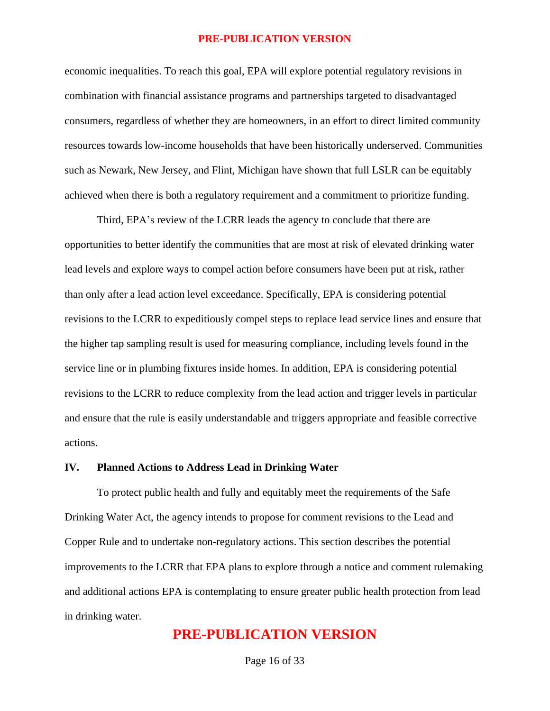economic inequalities. To reach this goal, EPA will explore potential regulatory revisions in combination with financial assistance programs and partnerships targeted to disadvantaged consumers, regardless of whether they are homeowners, in an effort to direct limited community resources towards low-income households that have been historically underserved. Communities such as Newark, New Jersey, and Flint, Michigan have shown that full LSLR can be equitably achieved when there is both a regulatory requirement and a commitment to prioritize funding.

Third, EPA's review of the LCRR leads the agency to conclude that there are opportunities to better identify the communities that are most at risk of elevated drinking water lead levels and explore ways to compel action before consumers have been put at risk, rather than only after a lead action level exceedance. Specifically, EPA is considering potential revisions to the LCRR to expeditiously compel steps to replace lead service lines and ensure that the higher tap sampling result is used for measuring compliance, including levels found in the service line or in plumbing fixtures inside homes. In addition, EPA is considering potential revisions to the LCRR to reduce complexity from the lead action and trigger levels in particular and ensure that the rule is easily understandable and triggers appropriate and feasible corrective actions.

### **IV. Planned Actions to Address Lead in Drinking Water**

To protect public health and fully and equitably meet the requirements of the Safe Drinking Water Act, the agency intends to propose for comment revisions to the Lead and Copper Rule and to undertake non-regulatory actions. This section describes the potential improvements to the LCRR that EPA plans to explore through a notice and comment rulemaking and additional actions EPA is contemplating to ensure greater public health protection from lead in drinking water.

### **PRE-PUBLICATION VERSION**

Page 16 of 33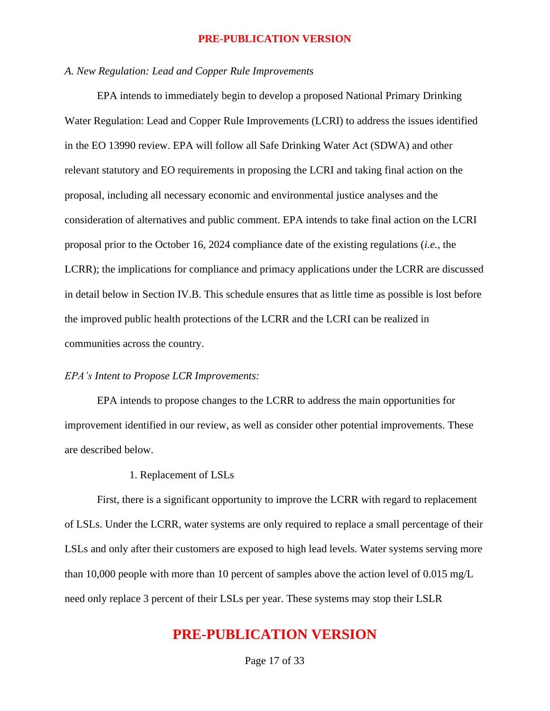### *A. New Regulation: Lead and Copper Rule Improvements*

EPA intends to immediately begin to develop a proposed National Primary Drinking Water Regulation: Lead and Copper Rule Improvements (LCRI) to address the issues identified in the EO 13990 review. EPA will follow all Safe Drinking Water Act (SDWA) and other relevant statutory and EO requirements in proposing the LCRI and taking final action on the proposal, including all necessary economic and environmental justice analyses and the consideration of alternatives and public comment. EPA intends to take final action on the LCRI proposal prior to the October 16, 2024 compliance date of the existing regulations (*i.e.*, the LCRR); the implications for compliance and primacy applications under the LCRR are discussed in detail below in Section IV.B. This schedule ensures that as little time as possible is lost before the improved public health protections of the LCRR and the LCRI can be realized in communities across the country.

#### *EPA's Intent to Propose LCR Improvements:*

EPA intends to propose changes to the LCRR to address the main opportunities for improvement identified in our review, as well as consider other potential improvements. These are described below.

### 1. Replacement of LSLs

First, there is a significant opportunity to improve the LCRR with regard to replacement of LSLs. Under the LCRR, water systems are only required to replace a small percentage of their LSLs and only after their customers are exposed to high lead levels. Water systems serving more than 10,000 people with more than 10 percent of samples above the action level of 0.015 mg/L need only replace 3 percent of their LSLs per year. These systems may stop their LSLR

## **PRE-PUBLICATION VERSION**

Page 17 of 33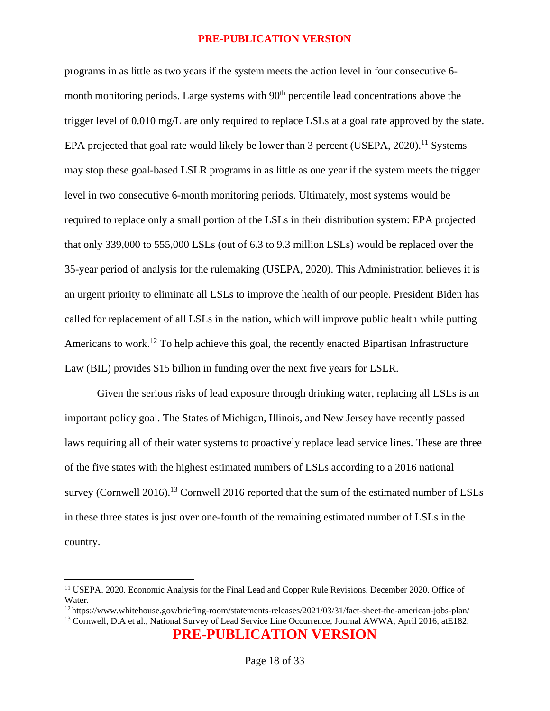programs in as little as two years if the system meets the action level in four consecutive 6 month monitoring periods. Large systems with  $90<sup>th</sup>$  percentile lead concentrations above the trigger level of 0.010 mg/L are only required to replace LSLs at a goal rate approved by the state. EPA projected that goal rate would likely be lower than 3 percent (USEPA,  $2020$ ).<sup>11</sup> Systems may stop these goal-based LSLR programs in as little as one year if the system meets the trigger level in two consecutive 6-month monitoring periods. Ultimately, most systems would be required to replace only a small portion of the LSLs in their distribution system: EPA projected that only 339,000 to 555,000 LSLs (out of 6.3 to 9.3 million LSLs) would be replaced over the 35-year period of analysis for the rulemaking (USEPA, 2020). This Administration believes it is an urgent priority to eliminate all LSLs to improve the health of our people. President Biden has called for replacement of all LSLs in the nation, which will improve public health while putting Americans to work.<sup>12</sup> To help achieve this goal, the recently enacted Bipartisan Infrastructure Law (BIL) provides \$15 billion in funding over the next five years for LSLR.

Given the serious risks of lead exposure through drinking water, replacing all LSLs is an important policy goal. The States of Michigan, Illinois, and New Jersey have recently passed laws requiring all of their water systems to proactively replace lead service lines. These are three of the five states with the highest estimated numbers of LSLs according to a 2016 national survey (Cornwell 2016).<sup>13</sup> Cornwell 2016 reported that the sum of the estimated number of LSLs in these three states is just over one-fourth of the remaining estimated number of LSLs in the country.

**PRE-PUBLICATION VERSION**

<sup>11</sup> USEPA. 2020. Economic Analysis for the Final Lead and Copper Rule Revisions. December 2020. Office of Water.

<sup>12</sup> https://www.whitehouse.gov/briefing-room/statements-releases/2021/03/31/fact-sheet-the-american-jobs-plan/ <sup>13</sup> Cornwell, D.A et al., National Survey of Lead Service Line Occurrence, Journal AWWA, April 2016, atE182.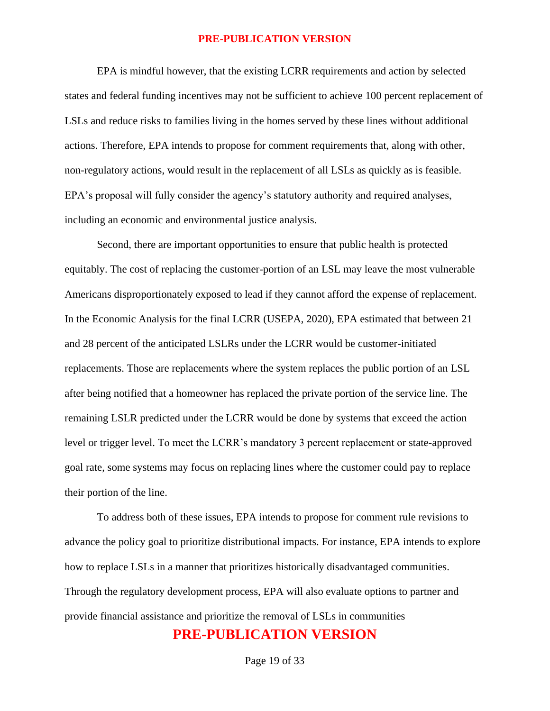EPA is mindful however, that the existing LCRR requirements and action by selected states and federal funding incentives may not be sufficient to achieve 100 percent replacement of LSLs and reduce risks to families living in the homes served by these lines without additional actions. Therefore, EPA intends to propose for comment requirements that, along with other, non-regulatory actions, would result in the replacement of all LSLs as quickly as is feasible. EPA's proposal will fully consider the agency's statutory authority and required analyses, including an economic and environmental justice analysis.

Second, there are important opportunities to ensure that public health is protected equitably. The cost of replacing the customer-portion of an LSL may leave the most vulnerable Americans disproportionately exposed to lead if they cannot afford the expense of replacement. In the Economic Analysis for the final LCRR (USEPA, 2020), EPA estimated that between 21 and 28 percent of the anticipated LSLRs under the LCRR would be customer-initiated replacements. Those are replacements where the system replaces the public portion of an LSL after being notified that a homeowner has replaced the private portion of the service line. The remaining LSLR predicted under the LCRR would be done by systems that exceed the action level or trigger level. To meet the LCRR's mandatory 3 percent replacement or state-approved goal rate, some systems may focus on replacing lines where the customer could pay to replace their portion of the line.

To address both of these issues, EPA intends to propose for comment rule revisions to advance the policy goal to prioritize distributional impacts. For instance, EPA intends to explore how to replace LSLs in a manner that prioritizes historically disadvantaged communities. Through the regulatory development process, EPA will also evaluate options to partner and provide financial assistance and prioritize the removal of LSLs in communities

## **PRE-PUBLICATION VERSION**

Page 19 of 33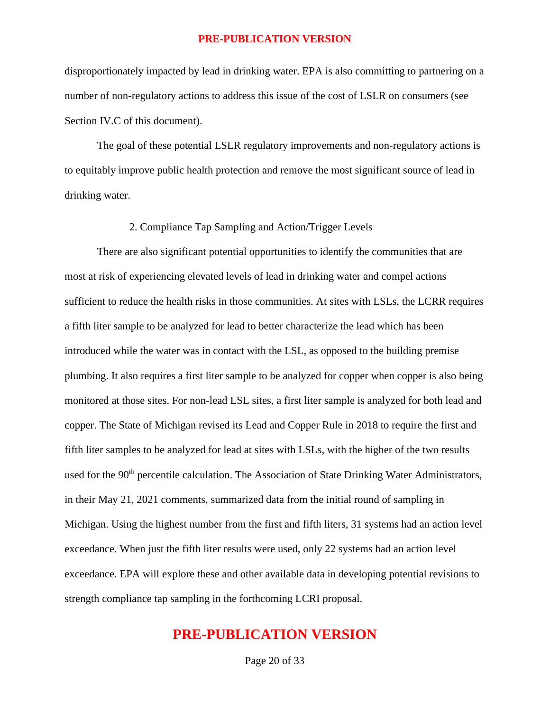disproportionately impacted by lead in drinking water. EPA is also committing to partnering on a number of non-regulatory actions to address this issue of the cost of LSLR on consumers (see Section IV.C of this document).

The goal of these potential LSLR regulatory improvements and non-regulatory actions is to equitably improve public health protection and remove the most significant source of lead in drinking water.

### 2. Compliance Tap Sampling and Action/Trigger Levels

There are also significant potential opportunities to identify the communities that are most at risk of experiencing elevated levels of lead in drinking water and compel actions sufficient to reduce the health risks in those communities. At sites with LSLs, the LCRR requires a fifth liter sample to be analyzed for lead to better characterize the lead which has been introduced while the water was in contact with the LSL, as opposed to the building premise plumbing. It also requires a first liter sample to be analyzed for copper when copper is also being monitored at those sites. For non-lead LSL sites, a first liter sample is analyzed for both lead and copper. The State of Michigan revised its Lead and Copper Rule in 2018 to require the first and fifth liter samples to be analyzed for lead at sites with LSLs, with the higher of the two results used for the 90<sup>th</sup> percentile calculation. The Association of State Drinking Water Administrators, in their May 21, 2021 comments, summarized data from the initial round of sampling in Michigan. Using the highest number from the first and fifth liters, 31 systems had an action level exceedance. When just the fifth liter results were used, only 22 systems had an action level exceedance. EPA will explore these and other available data in developing potential revisions to strength compliance tap sampling in the forthcoming LCRI proposal.

## **PRE-PUBLICATION VERSION**

Page 20 of 33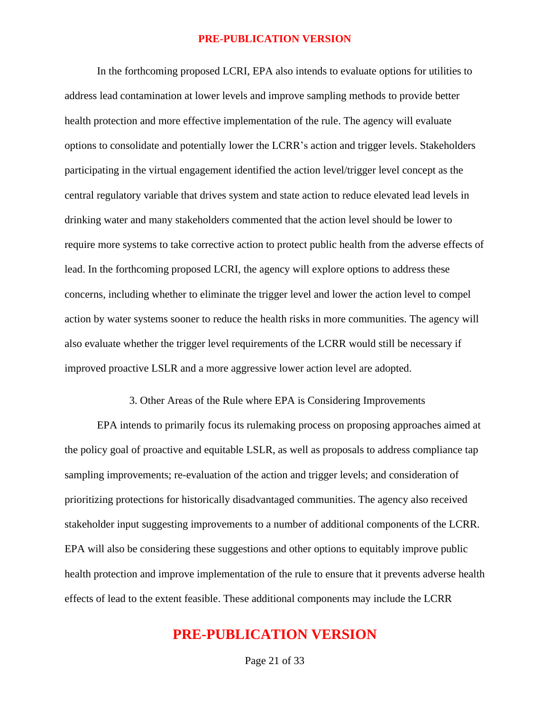In the forthcoming proposed LCRI, EPA also intends to evaluate options for utilities to address lead contamination at lower levels and improve sampling methods to provide better health protection and more effective implementation of the rule. The agency will evaluate options to consolidate and potentially lower the LCRR's action and trigger levels. Stakeholders participating in the virtual engagement identified the action level/trigger level concept as the central regulatory variable that drives system and state action to reduce elevated lead levels in drinking water and many stakeholders commented that the action level should be lower to require more systems to take corrective action to protect public health from the adverse effects of lead. In the forthcoming proposed LCRI, the agency will explore options to address these concerns, including whether to eliminate the trigger level and lower the action level to compel action by water systems sooner to reduce the health risks in more communities. The agency will also evaluate whether the trigger level requirements of the LCRR would still be necessary if improved proactive LSLR and a more aggressive lower action level are adopted.

3. Other Areas of the Rule where EPA is Considering Improvements

EPA intends to primarily focus its rulemaking process on proposing approaches aimed at the policy goal of proactive and equitable LSLR, as well as proposals to address compliance tap sampling improvements; re-evaluation of the action and trigger levels; and consideration of prioritizing protections for historically disadvantaged communities. The agency also received stakeholder input suggesting improvements to a number of additional components of the LCRR. EPA will also be considering these suggestions and other options to equitably improve public health protection and improve implementation of the rule to ensure that it prevents adverse health effects of lead to the extent feasible. These additional components may include the LCRR

## **PRE-PUBLICATION VERSION**

Page 21 of 33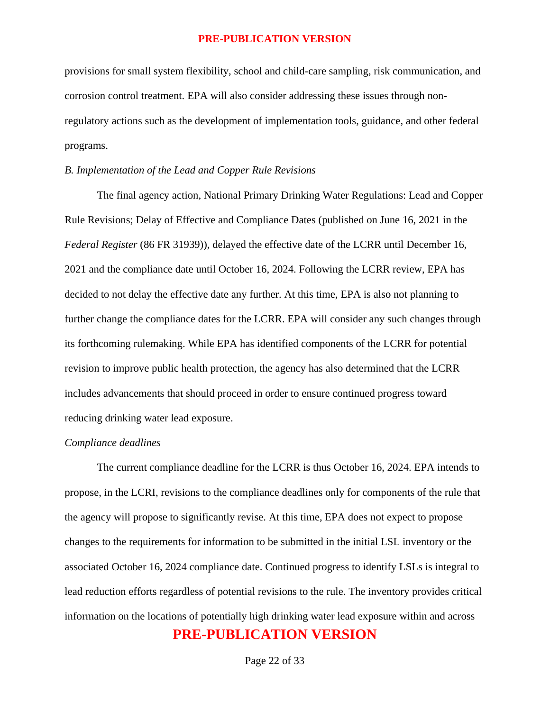provisions for small system flexibility, school and child-care sampling, risk communication, and corrosion control treatment. EPA will also consider addressing these issues through nonregulatory actions such as the development of implementation tools, guidance, and other federal programs.

### *B. Implementation of the Lead and Copper Rule Revisions*

The final agency action, National Primary Drinking Water Regulations: Lead and Copper Rule Revisions; Delay of Effective and Compliance Dates (published on June 16, 2021 in the *Federal Register* (86 FR 31939)), delayed the effective date of the LCRR until December 16, 2021 and the compliance date until October 16, 2024. Following the LCRR review, EPA has decided to not delay the effective date any further. At this time, EPA is also not planning to further change the compliance dates for the LCRR. EPA will consider any such changes through its forthcoming rulemaking. While EPA has identified components of the LCRR for potential revision to improve public health protection, the agency has also determined that the LCRR includes advancements that should proceed in order to ensure continued progress toward reducing drinking water lead exposure.

### *Compliance deadlines*

**PRE-PUBLICATION VERSION** The current compliance deadline for the LCRR is thus October 16, 2024. EPA intends to propose, in the LCRI, revisions to the compliance deadlines only for components of the rule that the agency will propose to significantly revise. At this time, EPA does not expect to propose changes to the requirements for information to be submitted in the initial LSL inventory or the associated October 16, 2024 compliance date. Continued progress to identify LSLs is integral to lead reduction efforts regardless of potential revisions to the rule. The inventory provides critical information on the locations of potentially high drinking water lead exposure within and across

Page 22 of 33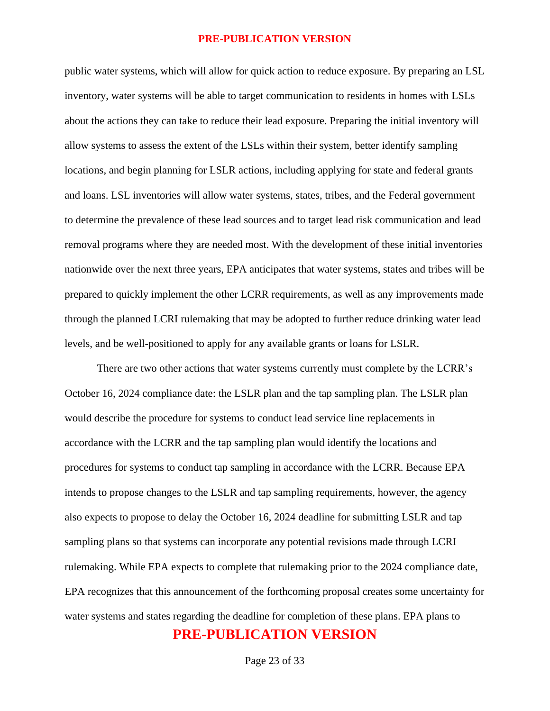public water systems, which will allow for quick action to reduce exposure. By preparing an LSL inventory, water systems will be able to target communication to residents in homes with LSLs about the actions they can take to reduce their lead exposure. Preparing the initial inventory will allow systems to assess the extent of the LSLs within their system, better identify sampling locations, and begin planning for LSLR actions, including applying for state and federal grants and loans. LSL inventories will allow water systems, states, tribes, and the Federal government to determine the prevalence of these lead sources and to target lead risk communication and lead removal programs where they are needed most. With the development of these initial inventories nationwide over the next three years, EPA anticipates that water systems, states and tribes will be prepared to quickly implement the other LCRR requirements, as well as any improvements made through the planned LCRI rulemaking that may be adopted to further reduce drinking water lead levels, and be well-positioned to apply for any available grants or loans for LSLR.

**PRE-PUBLICATION VERSION** There are two other actions that water systems currently must complete by the LCRR's October 16, 2024 compliance date: the LSLR plan and the tap sampling plan. The LSLR plan would describe the procedure for systems to conduct lead service line replacements in accordance with the LCRR and the tap sampling plan would identify the locations and procedures for systems to conduct tap sampling in accordance with the LCRR. Because EPA intends to propose changes to the LSLR and tap sampling requirements, however, the agency also expects to propose to delay the October 16, 2024 deadline for submitting LSLR and tap sampling plans so that systems can incorporate any potential revisions made through LCRI rulemaking. While EPA expects to complete that rulemaking prior to the 2024 compliance date, EPA recognizes that this announcement of the forthcoming proposal creates some uncertainty for water systems and states regarding the deadline for completion of these plans. EPA plans to

Page 23 of 33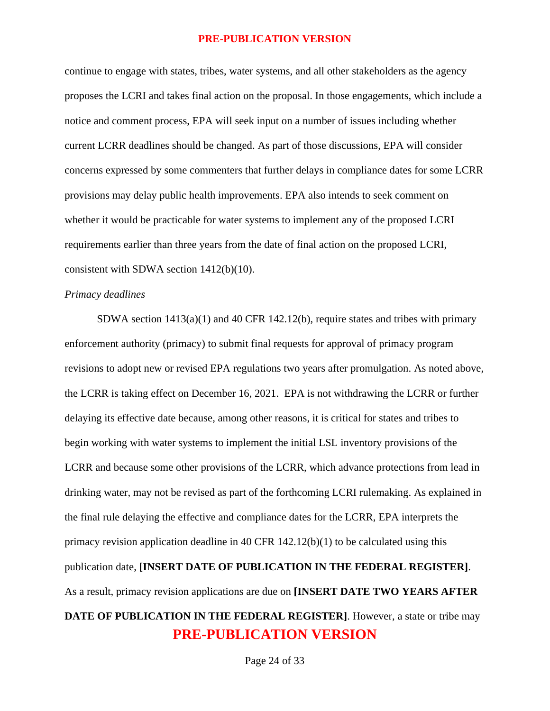continue to engage with states, tribes, water systems, and all other stakeholders as the agency proposes the LCRI and takes final action on the proposal. In those engagements, which include a notice and comment process, EPA will seek input on a number of issues including whether current LCRR deadlines should be changed. As part of those discussions, EPA will consider concerns expressed by some commenters that further delays in compliance dates for some LCRR provisions may delay public health improvements. EPA also intends to seek comment on whether it would be practicable for water systems to implement any of the proposed LCRI requirements earlier than three years from the date of final action on the proposed LCRI, consistent with SDWA section 1412(b)(10).

### *Primacy deadlines*

**PRE-PUBLICATION VERSION** SDWA section 1413(a)(1) and 40 CFR 142.12(b), require states and tribes with primary enforcement authority (primacy) to submit final requests for approval of primacy program revisions to adopt new or revised EPA regulations two years after promulgation. As noted above, the LCRR is taking effect on December 16, 2021. EPA is not withdrawing the LCRR or further delaying its effective date because, among other reasons, it is critical for states and tribes to begin working with water systems to implement the initial LSL inventory provisions of the LCRR and because some other provisions of the LCRR, which advance protections from lead in drinking water, may not be revised as part of the forthcoming LCRI rulemaking. As explained in the final rule delaying the effective and compliance dates for the LCRR, EPA interprets the primacy revision application deadline in 40 CFR 142.12(b)(1) to be calculated using this publication date, **[INSERT DATE OF PUBLICATION IN THE FEDERAL REGISTER]**. As a result, primacy revision applications are due on **[INSERT DATE TWO YEARS AFTER DATE OF PUBLICATION IN THE FEDERAL REGISTER]**. However, a state or tribe may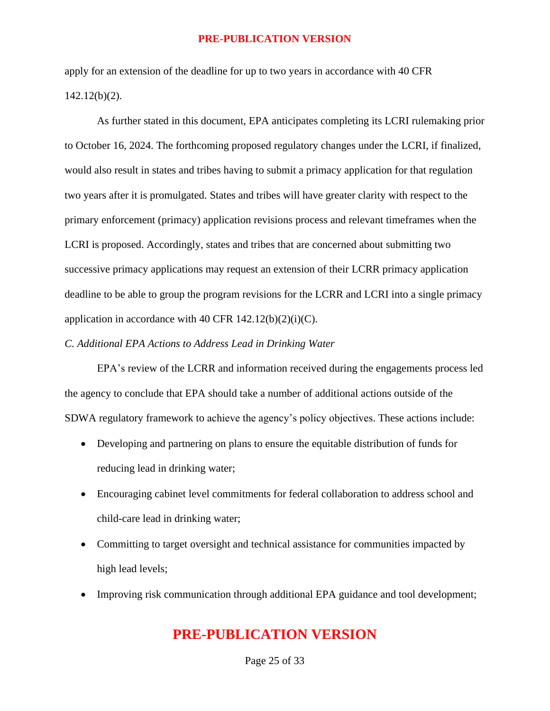apply for an extension of the deadline for up to two years in accordance with 40 CFR 142.12(b)(2).

As further stated in this document, EPA anticipates completing its LCRI rulemaking prior to October 16, 2024. The forthcoming proposed regulatory changes under the LCRI, if finalized, would also result in states and tribes having to submit a primacy application for that regulation two years after it is promulgated. States and tribes will have greater clarity with respect to the primary enforcement (primacy) application revisions process and relevant timeframes when the LCRI is proposed. Accordingly, states and tribes that are concerned about submitting two successive primacy applications may request an extension of their LCRR primacy application deadline to be able to group the program revisions for the LCRR and LCRI into a single primacy application in accordance with 40 CFR  $142.12(b)(2)(i)(C)$ .

### *C. Additional EPA Actions to Address Lead in Drinking Water*

EPA's review of the LCRR and information received during the engagements process led the agency to conclude that EPA should take a number of additional actions outside of the SDWA regulatory framework to achieve the agency's policy objectives. These actions include:

- Developing and partnering on plans to ensure the equitable distribution of funds for reducing lead in drinking water;
- Encouraging cabinet level commitments for federal collaboration to address school and child-care lead in drinking water;
- Committing to target oversight and technical assistance for communities impacted by high lead levels;
- Improving risk communication through additional EPA guidance and tool development;

## **PRE-PUBLICATION VERSION**

Page 25 of 33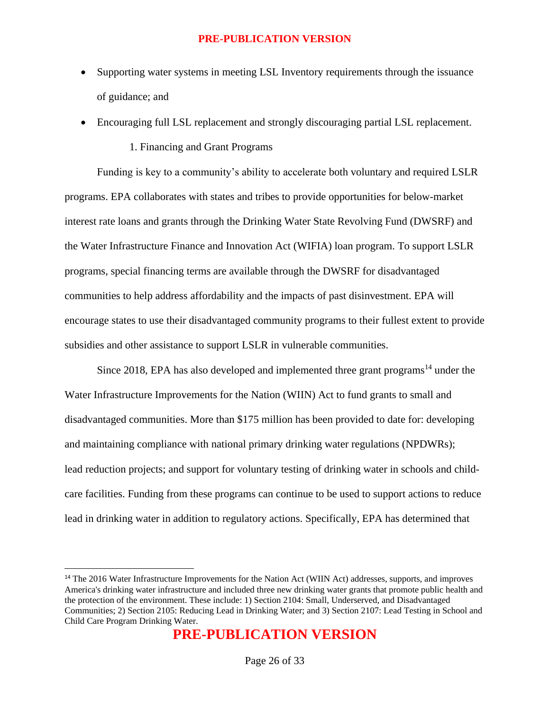- Supporting water systems in meeting LSL Inventory requirements through the issuance of guidance; and
- Encouraging full LSL replacement and strongly discouraging partial LSL replacement.

### 1. Financing and Grant Programs

Funding is key to a community's ability to accelerate both voluntary and required LSLR programs. EPA collaborates with states and tribes to provide opportunities for below-market interest rate loans and grants through the Drinking Water State Revolving Fund (DWSRF) and the Water Infrastructure Finance and Innovation Act (WIFIA) loan program. To support LSLR programs, special financing terms are available through the DWSRF for disadvantaged communities to help address affordability and the impacts of past disinvestment. EPA will encourage states to use their disadvantaged community programs to their fullest extent to provide subsidies and other assistance to support LSLR in vulnerable communities.

Since 2018, EPA has also developed and implemented three grant programs<sup>14</sup> under the Water Infrastructure Improvements for the Nation (WIIN) Act to fund grants to small and disadvantaged communities. More than \$175 million has been provided to date for: developing and maintaining compliance with national primary drinking water regulations (NPDWRs); lead reduction projects; and support for voluntary testing of drinking water in schools and childcare facilities. Funding from these programs can continue to be used to support actions to reduce lead in drinking water in addition to regulatory actions. Specifically, EPA has determined that

<sup>&</sup>lt;sup>14</sup> The 2016 Water Infrastructure Improvements for the Nation Act (WIIN Act) addresses, supports, and improves America's drinking water infrastructure and included three new drinking water grants that promote public health and the protection of the environment. These include: 1) Section 2104: Small, Underserved, and Disadvantaged Communities; 2) Section 2105: Reducing Lead in Drinking Water; and 3) Section 2107: Lead Testing in School and Child Care Program Drinking Water.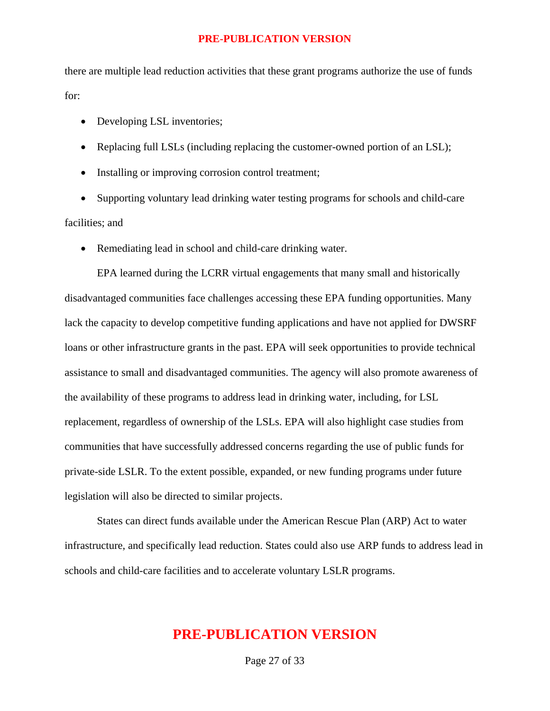there are multiple lead reduction activities that these grant programs authorize the use of funds for:

- Developing LSL inventories;
- Replacing full LSLs (including replacing the customer-owned portion of an LSL);
- Installing or improving corrosion control treatment;

• Supporting voluntary lead drinking water testing programs for schools and child-care facilities; and

• Remediating lead in school and child-care drinking water.

EPA learned during the LCRR virtual engagements that many small and historically disadvantaged communities face challenges accessing these EPA funding opportunities. Many lack the capacity to develop competitive funding applications and have not applied for DWSRF loans or other infrastructure grants in the past. EPA will seek opportunities to provide technical assistance to small and disadvantaged communities. The agency will also promote awareness of the availability of these programs to address lead in drinking water, including, for LSL replacement, regardless of ownership of the LSLs. EPA will also highlight case studies from communities that have successfully addressed concerns regarding the use of public funds for private-side LSLR. To the extent possible, expanded, or new funding programs under future legislation will also be directed to similar projects.

States can direct funds available under the American Rescue Plan (ARP) Act to water infrastructure, and specifically lead reduction. States could also use ARP funds to address lead in schools and child-care facilities and to accelerate voluntary LSLR programs.

## **PRE-PUBLICATION VERSION**

Page 27 of 33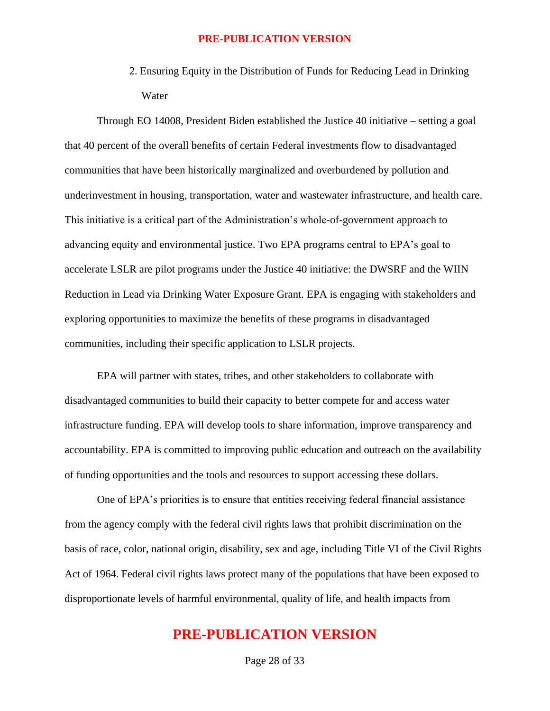2. Ensuring Equity in the Distribution of Funds for Reducing Lead in Drinking Water

Through EO 14008, President Biden established the Justice 40 initiative – setting a goal that 40 percent of the overall benefits of certain Federal investments flow to disadvantaged communities that have been historically marginalized and overburdened by pollution and underinvestment in housing, transportation, water and wastewater infrastructure, and health care. This initiative is a critical part of the Administration's whole-of-government approach to advancing equity and environmental justice. Two EPA programs central to EPA's goal to accelerate LSLR are pilot programs under the Justice 40 initiative: the DWSRF and the WIIN Reduction in Lead via Drinking Water Exposure Grant. EPA is engaging with stakeholders and exploring opportunities to maximize the benefits of these programs in disadvantaged communities, including their specific application to LSLR projects.

EPA will partner with states, tribes, and other stakeholders to collaborate with disadvantaged communities to build their capacity to better compete for and access water infrastructure funding. EPA will develop tools to share information, improve transparency and accountability. EPA is committed to improving public education and outreach on the availability of funding opportunities and the tools and resources to support accessing these dollars.

One of EPA's priorities is to ensure that entities receiving federal financial assistance from the agency comply with the federal civil rights laws that prohibit discrimination on the basis of race, color, national origin, disability, sex and age, including Title VI of the Civil Rights Act of 1964. Federal civil rights laws protect many of the populations that have been exposed to disproportionate levels of harmful environmental, quality of life, and health impacts from

## **PRE-PUBLICATION VERSION**

Page 28 of 33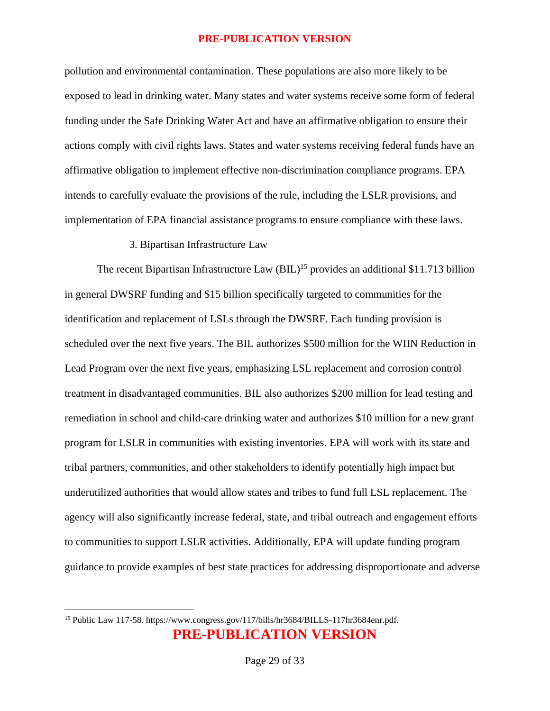pollution and environmental contamination. These populations are also more likely to be exposed to lead in drinking water. Many states and water systems receive some form of federal funding under the Safe Drinking Water Act and have an affirmative obligation to ensure their actions comply with civil rights laws. States and water systems receiving federal funds have an affirmative obligation to implement effective non-discrimination compliance programs. EPA intends to carefully evaluate the provisions of the rule, including the LSLR provisions, and implementation of EPA financial assistance programs to ensure compliance with these laws.

### 3. Bipartisan Infrastructure Law

The recent Bipartisan Infrastructure Law  $(BIL)^{15}$  provides an additional \$11.713 billion in general DWSRF funding and \$15 billion specifically targeted to communities for the identification and replacement of LSLs through the DWSRF. Each funding provision is scheduled over the next five years. The BIL authorizes \$500 million for the WIIN Reduction in Lead Program over the next five years, emphasizing LSL replacement and corrosion control treatment in disadvantaged communities. BIL also authorizes \$200 million for lead testing and remediation in school and child-care drinking water and authorizes \$10 million for a new grant program for LSLR in communities with existing inventories. EPA will work with its state and tribal partners, communities, and other stakeholders to identify potentially high impact but underutilized authorities that would allow states and tribes to fund full LSL replacement. The agency will also significantly increase federal, state, and tribal outreach and engagement efforts to communities to support LSLR activities. Additionally, EPA will update funding program guidance to provide examples of best state practices for addressing disproportionate and adverse

**PRE-PUBLICATION VERSION** <sup>15</sup> Public Law 117-58. https://www.congress.gov/117/bills/hr3684/BILLS-117hr3684enr.pdf.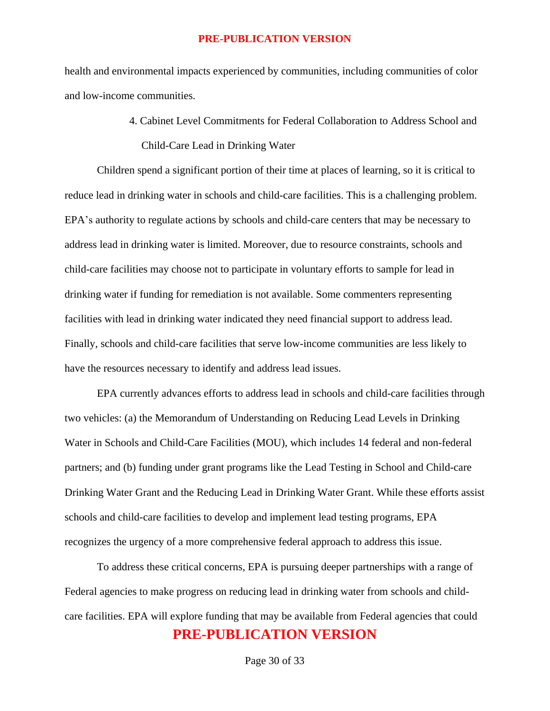health and environmental impacts experienced by communities, including communities of color and low-income communities.

> 4. Cabinet Level Commitments for Federal Collaboration to Address School and Child-Care Lead in Drinking Water

Children spend a significant portion of their time at places of learning, so it is critical to reduce lead in drinking water in schools and child-care facilities. This is a challenging problem. EPA's authority to regulate actions by schools and child-care centers that may be necessary to address lead in drinking water is limited. Moreover, due to resource constraints, schools and child-care facilities may choose not to participate in voluntary efforts to sample for lead in drinking water if funding for remediation is not available. Some commenters representing facilities with lead in drinking water indicated they need financial support to address lead. Finally, schools and child-care facilities that serve low-income communities are less likely to have the resources necessary to identify and address lead issues.

EPA currently advances efforts to address lead in schools and child-care facilities through two vehicles: (a) the Memorandum of Understanding on Reducing Lead Levels in Drinking Water in Schools and Child-Care Facilities (MOU), which includes 14 federal and non-federal partners; and (b) funding under grant programs like the Lead Testing in School and Child-care Drinking Water Grant and the Reducing Lead in Drinking Water Grant. While these efforts assist schools and child-care facilities to develop and implement lead testing programs, EPA recognizes the urgency of a more comprehensive federal approach to address this issue.

**PRE-PUBLICATION VERSION** To address these critical concerns, EPA is pursuing deeper partnerships with a range of Federal agencies to make progress on reducing lead in drinking water from schools and childcare facilities. EPA will explore funding that may be available from Federal agencies that could

Page 30 of 33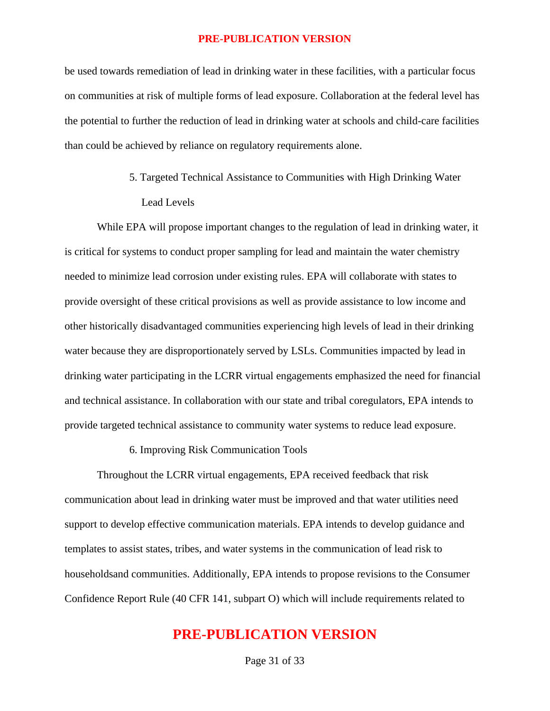be used towards remediation of lead in drinking water in these facilities, with a particular focus on communities at risk of multiple forms of lead exposure. Collaboration at the federal level has the potential to further the reduction of lead in drinking water at schools and child-care facilities than could be achieved by reliance on regulatory requirements alone.

> 5. Targeted Technical Assistance to Communities with High Drinking Water Lead Levels

While EPA will propose important changes to the regulation of lead in drinking water, it is critical for systems to conduct proper sampling for lead and maintain the water chemistry needed to minimize lead corrosion under existing rules. EPA will collaborate with states to provide oversight of these critical provisions as well as provide assistance to low income and other historically disadvantaged communities experiencing high levels of lead in their drinking water because they are disproportionately served by LSLs. Communities impacted by lead in drinking water participating in the LCRR virtual engagements emphasized the need for financial and technical assistance. In collaboration with our state and tribal coregulators, EPA intends to provide targeted technical assistance to community water systems to reduce lead exposure.

### 6. Improving Risk Communication Tools

Throughout the LCRR virtual engagements, EPA received feedback that risk communication about lead in drinking water must be improved and that water utilities need support to develop effective communication materials. EPA intends to develop guidance and templates to assist states, tribes, and water systems in the communication of lead risk to householdsand communities. Additionally, EPA intends to propose revisions to the Consumer Confidence Report Rule (40 CFR 141, subpart O) which will include requirements related to

## **PRE-PUBLICATION VERSION**

Page 31 of 33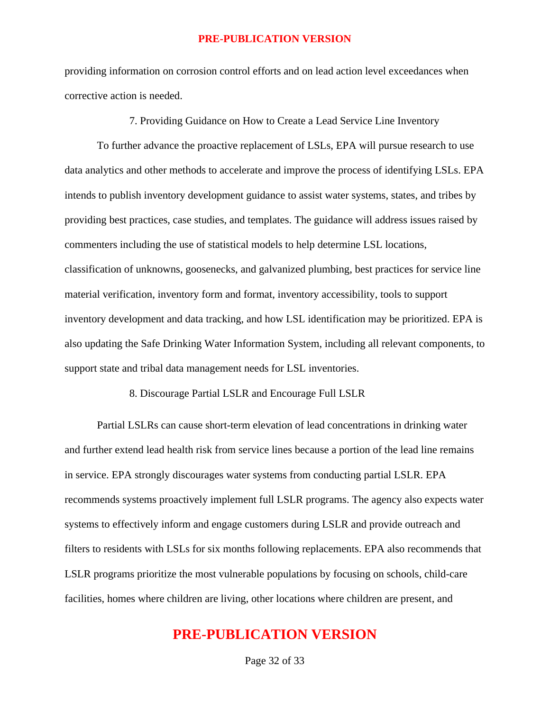providing information on corrosion control efforts and on lead action level exceedances when corrective action is needed.

7. Providing Guidance on How to Create a Lead Service Line Inventory

To further advance the proactive replacement of LSLs, EPA will pursue research to use data analytics and other methods to accelerate and improve the process of identifying LSLs. EPA intends to publish inventory development guidance to assist water systems, states, and tribes by providing best practices, case studies, and templates. The guidance will address issues raised by commenters including the use of statistical models to help determine LSL locations, classification of unknowns, goosenecks, and galvanized plumbing, best practices for service line material verification, inventory form and format, inventory accessibility, tools to support inventory development and data tracking, and how LSL identification may be prioritized. EPA is also updating the Safe Drinking Water Information System, including all relevant components, to support state and tribal data management needs for LSL inventories.

#### 8. Discourage Partial LSLR and Encourage Full LSLR

Partial LSLRs can cause short-term elevation of lead concentrations in drinking water and further extend lead health risk from service lines because a portion of the lead line remains in service. EPA strongly discourages water systems from conducting partial LSLR. EPA recommends systems proactively implement full LSLR programs. The agency also expects water systems to effectively inform and engage customers during LSLR and provide outreach and filters to residents with LSLs for six months following replacements. EPA also recommends that LSLR programs prioritize the most vulnerable populations by focusing on schools, child-care facilities, homes where children are living, other locations where children are present, and

## **PRE-PUBLICATION VERSION**

Page 32 of 33